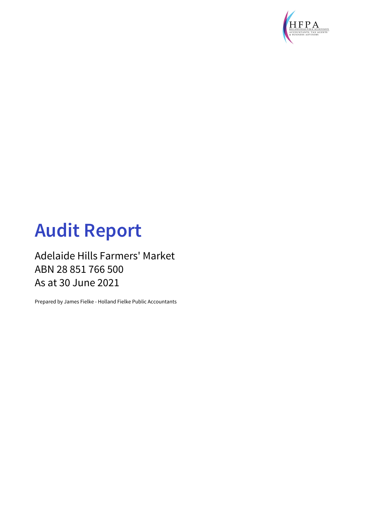

# **Audit Report**

### Adelaide Hills Farmers' Market ABN 28 851 766 500 As at 30 June 2021

Prepared by James Fielke - Holland Fielke Public Accountants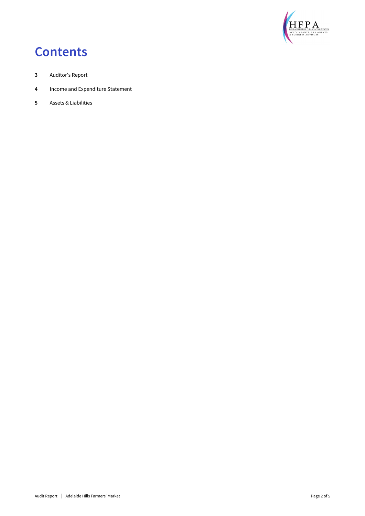

# **Contents**

- **3** Auditor's Report
- **4** Income and Expenditure Statement
- **5** Assets & Liabilities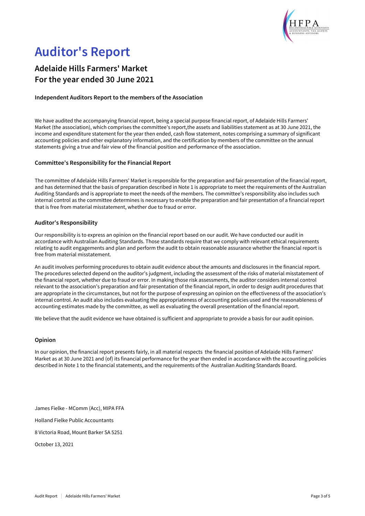

# **Auditor's Report**

### **Adelaide Hills Farmers' Market For the year ended 30 June 2021**

#### **Independent Auditors Report to the members of the Association**

We have audited the accompanying financial report, being a special purpose financial report, of Adelaide Hills Farmers' Market (the association), which comprises the committee's report,the assets and liabilities statement as at 30 June 2021, the income and expenditure statement for the year then ended, cash flow statement, notes comprising a summary of significant accounting policies and other explanatory information, and the certification by members of the committee on the annual statements giving a true and fair view of the financial position and performance of the association.

#### **Committee's Responsibility for the Financial Report**

The committee of Adelaide Hills Farmers' Market is responsible for the preparation and fair presentation of the financial report, and has determined that the basis of preparation described in Note 1 is appropriate to meet the requirements of the Australian Auditing Standards and is appropriate to meet the needs of the members. The committee's responsibility also includes such internal control as the committee determines is necessary to enable the preparation and fair presentation of a financial report that is free from material misstatement, whether due to fraud or error.

#### **Auditor's Responsibility**

Our responsibility is to express an opinion on the financial report based on our audit. We have conducted our audit in accordance with Australian Auditing Standards. Those standards require that we comply with relevant ethical requirements relating to audit engagements and plan and perform the audit to obtain reasonable assurance whether the financial report is free from material misstatement.

An audit involves performing procedures to obtain audit evidence about the amounts and disclosures in the financial report. The procedures selected depend on the auditor's judgment, including the assessment of the risks of material misstatement of the financial report, whether due to fraud or error. In making those risk assessments, the auditor considers internal control relevant to the association's preparation and fair presentation of the financial report, in order to design audit procedures that are appropriate in the circumstances, but not for the purpose of expressing an opinion on the effectiveness of the association's internal control. An audit also includes evaluating the appropriateness of accounting policies used and the reasonableness of accounting estimates made by the committee, as well as evaluating the overall presentation of the financial report.

We believe that the audit evidence we have obtained is sufficient and appropriate to provide a basis for our audit opinion.

#### **Opinion**

In our opinion, the financial report presents fairly, in all material respects the financial position of Adelaide Hills Farmers' Market as at 30 June 2021 and (of) its financial performance for the year then ended in accordance with the accounting policies described in Note 1 to the financial statements, and the requirements of the Australian Auditing Standards Board.

James Fielke - MComm (Acc), MIPA FFA

Holland Fielke Public Accountants

8 Victoria Road, Mount Barker SA 5251

October 13, 2021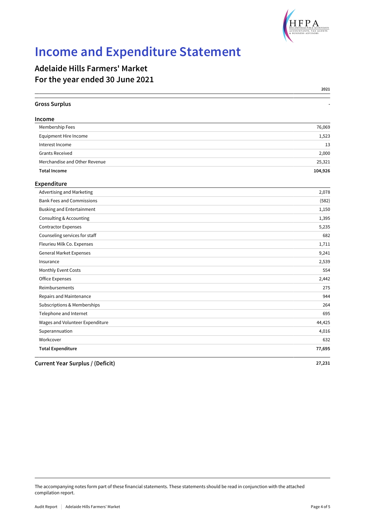

# **Income and Expenditure Statement**

### **Adelaide Hills Farmers' Market For the year ended 30 June 2021**

|                                         | 2021    |
|-----------------------------------------|---------|
| <b>Gross Surplus</b>                    |         |
| Income                                  |         |
| Membership Fees                         | 76,069  |
| Equipment Hire Income                   | 1,523   |
| Interest Income                         | 13      |
| <b>Grants Received</b>                  | 2,000   |
| Merchandise and Other Revenue           | 25,321  |
| <b>Total Income</b>                     | 104,926 |
| Expenditure                             |         |
| Advertising and Marketing               | 2,078   |
| <b>Bank Fees and Commissions</b>        | (582)   |
| <b>Busking and Entertainment</b>        | 1,150   |
| Consulting & Accounting                 | 1,395   |
| <b>Contractor Expenses</b>              | 5,235   |
| Counseling services for staff           | 682     |
| Fleurieu Milk Co. Expenses              | 1,711   |
| <b>General Market Expenses</b>          | 9,241   |
| Insurance                               | 2,539   |
| Monthly Event Costs                     | 554     |
| <b>Office Expenses</b>                  | 2,442   |
| Reimbursements                          | 275     |
| Repairs and Maintenance                 | 944     |
| Subscriptions & Memberships             | 264     |
| Telephone and Internet                  | 695     |
| Wages and Volunteer Expenditure         | 44,425  |
| Superannuation                          | 4,016   |
| Workcover                               | 632     |
| <b>Total Expenditure</b>                | 77,695  |
| <b>Current Year Surplus / (Deficit)</b> | 27,231  |

The accompanying notes form part of these financial statements. These statements should be read in conjunction with the attached compilation report.